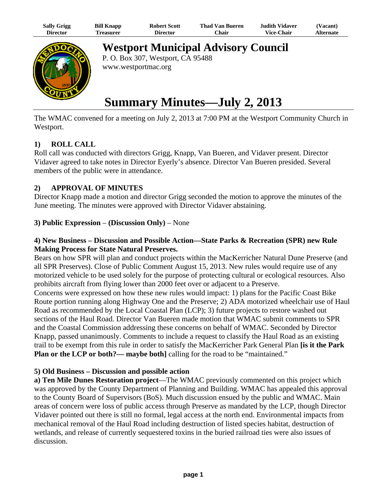| <b>Sally Grigg</b> | <b>Bill Knapp</b> | <b>Robert Scott</b> | <b>Thad Van Bueren</b> | <b>Judith Vidaver</b> | <b>Vacant</b> ) |
|--------------------|-------------------|---------------------|------------------------|-----------------------|-----------------|
| Director           | <b>Treasurer</b>  | Director            | Chair                  | <b>Vice-Chair</b>     | Alternate       |



**Westport Municipal Advisory Council**

P. O. Box 307, Westport, CA 95488 www.westportmac.org

# **Summary Minutes—July 2, 2013**

The WMAC convened for a meeting on July 2, 2013 at 7:00 PM at the Westport Community Church in Westport.

## **1) ROLL CALL**

Roll call was conducted with directors Grigg, Knapp, Van Bueren, and Vidaver present. Director Vidaver agreed to take notes in Director Eyerly's absence. Director Van Bueren presided. Several members of the public were in attendance.

## **2) APPROVAL OF MINUTES**

Director Knapp made a motion and director Grigg seconded the motion to approve the minutes of the June meeting. The minutes were approved with Director Vidaver abstaining.

**3) Public Expression** – **(Discussion Only)** – None

### **4) New Business – Discussion and Possible Action—State Parks & Recreation (SPR) new Rule Making Process for State Natural Preserves.**

Bears on how SPR will plan and conduct projects within the MacKerricher Natural Dune Preserve (and all SPR Preserves). Close of Public Comment August 15, 2013. New rules would require use of any motorized vehicle to be used solely for the purpose of protecting cultural or ecological resources. Also prohibits aircraft from flying lower than 2000 feet over or adjacent to a Preserve.

Concerns were expressed on how these new rules would impact: 1) plans for the Pacific Coast Bike Route portion running along Highway One and the Preserve; 2) ADA motorized wheelchair use of Haul Road as recommended by the Local Coastal Plan (LCP); 3) future projects to restore washed out sections of the Haul Road. Director Van Bueren made motion that WMAC submit comments to SPR and the Coastal Commission addressing these concerns on behalf of WMAC. Seconded by Director Knapp, passed unanimously. Comments to include a request to classify the Haul Road as an existing trail to be exempt from this rule in order to satisfy the MacKerricher Park General Plan **[is it the Park Plan or the LCP or both?— maybe both]** calling for the road to be "maintained."

#### **5) Old Business – Discussion and possible action**

**a) Ten Mile Dunes Restoration project**—The WMAC previously commented on this project which was approved by the County Department of Planning and Building. WMAC has appealed this approval to the County Board of Supervisors (BoS). Much discussion ensued by the public and WMAC. Main areas of concern were loss of public access through Preserve as mandated by the LCP, though Director Vidaver pointed out there is still no formal, legal access at the north end. Environmental impacts from mechanical removal of the Haul Road including destruction of listed species habitat, destruction of wetlands, and release of currently sequestered toxins in the buried railroad ties were also issues of discussion.